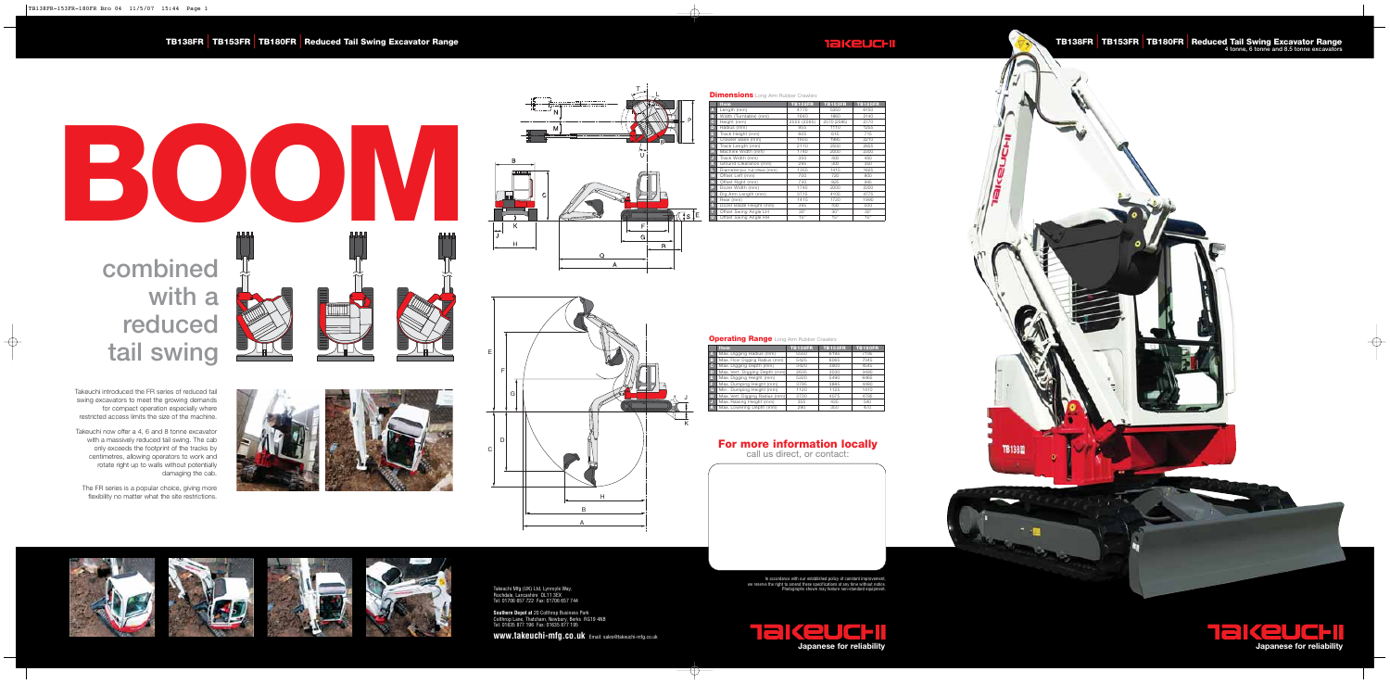







**Southern Depot at** 20 Colthrop Business Park Colthrop Lane, Thatcham, Newbury, Berks RG19 4NB Tel: 01635 877 196 Fax: 01635 877 195

**www.takeuchi-mfg.co.uk** Email: sales@takeuchi-mfg.co.uk









#### 1al<br />
1al<br />
1al<br />
1al<br />
1al<br />
1al<br />
1al<br />
1al<br />
1al<br />
1al<br />
1al<br />
1al<br />
1al<br />
1al<br />
1al<br />
1al<br />
1al<br />
1al<br />
1al<br />
1al<br />
1al<br /><<<<<<<<<<<<<

J

K

 $\overline{\phantom{a}}$ 

#### **Operating Range** Long Arm Rubber Crawlers



|    | <b>Item</b>                    | <b>TB138FR</b> | <b>TB153FR</b> | <b>TB180FR</b> |
|----|--------------------------------|----------------|----------------|----------------|
| A  | Max. Digging Radius (mm)       | 5550           | 6195           | 7195           |
| в  | Max. Floor Digging Radius (mm) | 5425           | 6065           | 7045           |
| c. | Max. Digging Depth (mm)        | 3420           | 3900           | 4545           |
| D  | Max. Vert. Digging Depth (mm)  | 2635           | 3030           | 3490           |
| Е  | Max. Digging Height (mm)       | 5220           | 5490           | 6465           |
| F  | Max. Dumping Height (mm)       | 3795           | 3885           | 4480           |
| G  | Min. Dumping Height (mm)       | 1120           | 1125           | 1410           |
| н  | Max. Vert. Digging Radius (mm) | 3730           | 4075           | 4795           |
| J  | Max. Raising Height (mm)       | 355            | 435            | 540            |
| κ  | Max. Lowering Depth (mm)       | 290            | 350            | 470            |

# **B**OO **combined**



| $\blacksquare$          |                                   |                |                |                |  |  |
|-------------------------|-----------------------------------|----------------|----------------|----------------|--|--|
|                         | <b>Item</b>                       | <b>TB138FR</b> | <b>TB153FR</b> | <b>TB180FR</b> |  |  |
| A                       | Length (mm)                       | 4770           | 5350           | 6150           |  |  |
| в                       | Width (Turntable) (mm)            | 1640           | 1860           | 2140           |  |  |
| c,                      | Height (mm)                       | 2555 (2565)    | 2570 (2585)    | 2770           |  |  |
| D                       | Radius (mm)                       | 955            | 1110           | 1255           |  |  |
| Ξ                       | Track Height (mm)                 | 605            | 615            | 715            |  |  |
| F                       | Crawler Base (mm)                 | 1655           | 1985           | 2210           |  |  |
| G                       | Track Length (mm)                 | 2110           | 2500           | 2855           |  |  |
| H                       | Machine Width (mm)                | 1740           | 2000           | 2300           |  |  |
| J.                      | Track Width (mm)                  | 350            | 400            | 450            |  |  |
| K                       | Ground Clearance (mm)             | 295            | 300            | 350            |  |  |
| L,                      | Diameter (incl. Full Offset) (mm) | 1355           | 1415           | 1625           |  |  |
| M                       | Offset Left (mm)                  | 700            | 720            | 800            |  |  |
| Ñ                       | Offset Right (mm)                 | 730            | 825            | 945            |  |  |
| P                       | Dozer Width (mm)                  | 1740           | 2000           | 2300           |  |  |
| Q                       | Dig Arm Length (mm)               | 3715           | 4105           | 4775           |  |  |
| R                       | Rear (mm)                         | 1415           | 1720           | 1990           |  |  |
| S                       | Dozer Blade Height (mm)           | 395            | 430            | 500            |  |  |
| Ŧ                       | Offset Swing Angle LH             | $30^{\circ}$   | $30^{\circ}$   | $30^\circ$     |  |  |
| $\overline{\mathsf{U}}$ | Offset Swing Angle RH             | $15^\circ$     | $15^\circ$     | $15^\circ$     |  |  |

**TB138FR** | **TB153FR** | **TB180FR** | **Reduced Tail Swing Excavator Range**



# **tail swing**

Takeuchi introduced the FR series of reduced tail swing excavators to meet the growing demands for compact operation especially where restricted access limits the size of the machine.

 $\Rightarrow$ 

Takeuchi now offer a 4, 6 and 8 tonne excavator with a massively reduced tail swing. The cab only exceeds the footprint of the tracks by centimetres, allowing operators to work and rotate right up to walls without potentially damaging the cab.

The FR series is a popular choice, giving more flexibility no matter what the site restrictions.





**Dimensions** Long Arm Rubber Crawlers



call us direct, or contact:



#### **For more information locally**

In accordance with our established policy of constant improvement, we reserve the right to amend these specifications at any time without notice. Photographs shown may feature non-standard equipment.